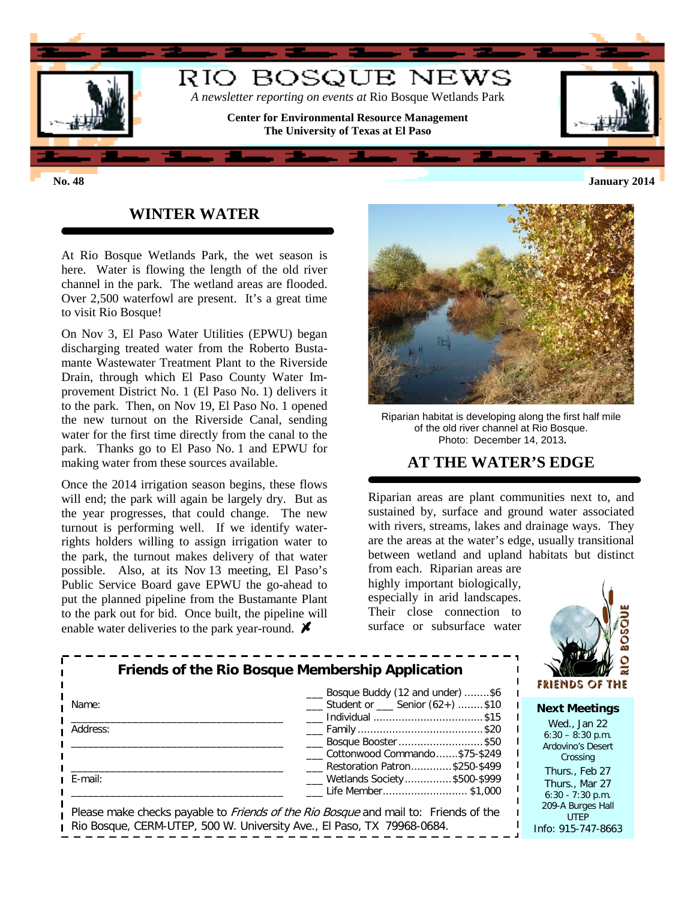

## **WINTER WATER**

At Rio Bosque Wetlands Park, the wet season is here. Water is flowing the length of the old river channel in the park. The wetland areas are flooded. Over 2,500 waterfowl are present. It's a great time to visit Rio Bosque!

On Nov 3, El Paso Water Utilities (EPWU) began discharging treated water from the Roberto Bustamante Wastewater Treatment Plant to the Riverside Drain, through which El Paso County Water Improvement District No. 1 (El Paso No. 1) delivers it to the park. Then, on Nov 19, El Paso No. 1 opened the new turnout on the Riverside Canal, sending water for the first time directly from the canal to the park. Thanks go to El Paso No. 1 and EPWU for making water from these sources available.

Once the 2014 irrigation season begins, these flows will end; the park will again be largely dry. But as the year progresses, that could change. The new turnout is performing well. If we identify waterrights holders willing to assign irrigation water to the park, the turnout makes delivery of that water possible. Also, at its Nov 13 meeting, El Paso's Public Service Board gave EPWU the go-ahead to put the planned pipeline from the Bustamante Plant to the park out for bid. Once built, the pipeline will enable water deliveries to the park year-round.  $\blacktriangleright$ 



Riparian habitat is developing along the first half mile of the old river channel at Rio Bosque. Photo: December 14, 2013**.**

## **AT THE WATER'S EDGE**

Riparian areas are plant communities next to, and sustained by, surface and ground water associated with rivers, streams, lakes and drainage ways. They are the areas at the water's edge, usually transitional between wetland and upland habitats but distinct

from each. Riparian areas are highly important biologically, especially in arid landscapes. Their close connection to surface or subsurface water



| <b>Friends of the Rio Bosque Membership Application</b> | <b>FRIENDS OF TH</b>                                                                                                                                                 |                                                                                                |
|---------------------------------------------------------|----------------------------------------------------------------------------------------------------------------------------------------------------------------------|------------------------------------------------------------------------------------------------|
| Name:                                                   | Bosque Buddy (12 and under) \$6<br>$\frac{1}{1}$ Student or $\frac{1}{1}$ Senior (62+) \$10<br>__ Individual \$15                                                    | <b>Next Meetings</b>                                                                           |
| Address:                                                | ____ Bosque Booster \$50<br>Cottonwood Commando\$75-\$249<br>Restoration Patron\$250-\$499                                                                           | Wed., Jan $22$<br>$6:30 - 8:30$ p.m.<br><b>Ardovino's Desert</b><br>Crossing<br>Thurs., Feb 27 |
| E-mail:                                                 | ___ Wetlands Society\$500-\$999<br>Life Member\$1,000                                                                                                                | Thurs., Mar 27<br>$6:30 - 7:30$ p.m.                                                           |
|                                                         | Please make checks payable to <i>Friends of the Rio Bosque</i> and mail to: Friends of the<br>Rio Bosque, CERM-UTEP, 500 W. University Ave., El Paso, TX 79968-0684. | 209-A Burges Hall<br><b>UTEP</b><br>$Inf0$ 915-747-866                                         |

UTEP Info: 915-747-8663